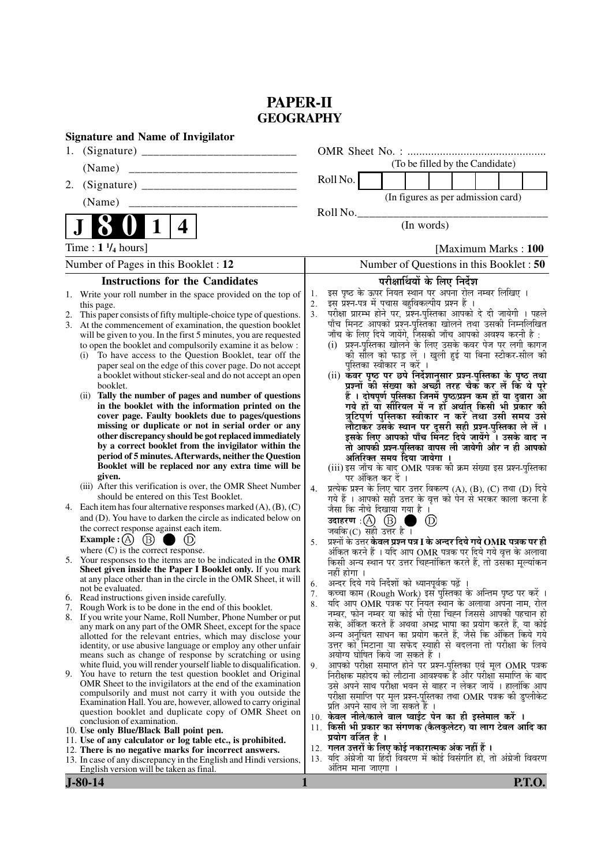### **PAPER-II GEOGRAPHY**

|                | <b>Signature and Name of Invigilator</b>                                                                                                                                                                                                                                                                                                                                                                                                                                                                                                                                                                                                                                                                                                                                                                                                                                                                                                                                                                                                  |                            |                                                                                                                                                                                                                                                                                                                                                                                                                                                                                                                                                                                                                                                                                                                                                                                                                                                                                                                                                                                                                                                                          |  |                                    |                      |  |  |  |
|----------------|-------------------------------------------------------------------------------------------------------------------------------------------------------------------------------------------------------------------------------------------------------------------------------------------------------------------------------------------------------------------------------------------------------------------------------------------------------------------------------------------------------------------------------------------------------------------------------------------------------------------------------------------------------------------------------------------------------------------------------------------------------------------------------------------------------------------------------------------------------------------------------------------------------------------------------------------------------------------------------------------------------------------------------------------|----------------------------|--------------------------------------------------------------------------------------------------------------------------------------------------------------------------------------------------------------------------------------------------------------------------------------------------------------------------------------------------------------------------------------------------------------------------------------------------------------------------------------------------------------------------------------------------------------------------------------------------------------------------------------------------------------------------------------------------------------------------------------------------------------------------------------------------------------------------------------------------------------------------------------------------------------------------------------------------------------------------------------------------------------------------------------------------------------------------|--|------------------------------------|----------------------|--|--|--|
| 1.             |                                                                                                                                                                                                                                                                                                                                                                                                                                                                                                                                                                                                                                                                                                                                                                                                                                                                                                                                                                                                                                           |                            |                                                                                                                                                                                                                                                                                                                                                                                                                                                                                                                                                                                                                                                                                                                                                                                                                                                                                                                                                                                                                                                                          |  |                                    |                      |  |  |  |
|                |                                                                                                                                                                                                                                                                                                                                                                                                                                                                                                                                                                                                                                                                                                                                                                                                                                                                                                                                                                                                                                           |                            |                                                                                                                                                                                                                                                                                                                                                                                                                                                                                                                                                                                                                                                                                                                                                                                                                                                                                                                                                                                                                                                                          |  | (To be filled by the Candidate)    |                      |  |  |  |
| 2.             |                                                                                                                                                                                                                                                                                                                                                                                                                                                                                                                                                                                                                                                                                                                                                                                                                                                                                                                                                                                                                                           |                            | Roll No.                                                                                                                                                                                                                                                                                                                                                                                                                                                                                                                                                                                                                                                                                                                                                                                                                                                                                                                                                                                                                                                                 |  |                                    |                      |  |  |  |
|                | (Name)                                                                                                                                                                                                                                                                                                                                                                                                                                                                                                                                                                                                                                                                                                                                                                                                                                                                                                                                                                                                                                    |                            |                                                                                                                                                                                                                                                                                                                                                                                                                                                                                                                                                                                                                                                                                                                                                                                                                                                                                                                                                                                                                                                                          |  | (In figures as per admission card) |                      |  |  |  |
|                |                                                                                                                                                                                                                                                                                                                                                                                                                                                                                                                                                                                                                                                                                                                                                                                                                                                                                                                                                                                                                                           |                            | Roll No.                                                                                                                                                                                                                                                                                                                                                                                                                                                                                                                                                                                                                                                                                                                                                                                                                                                                                                                                                                                                                                                                 |  |                                    |                      |  |  |  |
|                | 1<br>4                                                                                                                                                                                                                                                                                                                                                                                                                                                                                                                                                                                                                                                                                                                                                                                                                                                                                                                                                                                                                                    |                            |                                                                                                                                                                                                                                                                                                                                                                                                                                                                                                                                                                                                                                                                                                                                                                                                                                                                                                                                                                                                                                                                          |  | (In words)                         |                      |  |  |  |
|                | Time : $1 \frac{1}{4}$ hours]                                                                                                                                                                                                                                                                                                                                                                                                                                                                                                                                                                                                                                                                                                                                                                                                                                                                                                                                                                                                             |                            |                                                                                                                                                                                                                                                                                                                                                                                                                                                                                                                                                                                                                                                                                                                                                                                                                                                                                                                                                                                                                                                                          |  |                                    | [Maximum Marks: 100] |  |  |  |
|                | Number of Pages in this Booklet : 12                                                                                                                                                                                                                                                                                                                                                                                                                                                                                                                                                                                                                                                                                                                                                                                                                                                                                                                                                                                                      |                            | Number of Questions in this Booklet : 50                                                                                                                                                                                                                                                                                                                                                                                                                                                                                                                                                                                                                                                                                                                                                                                                                                                                                                                                                                                                                                 |  |                                    |                      |  |  |  |
|                | <b>Instructions for the Candidates</b>                                                                                                                                                                                                                                                                                                                                                                                                                                                                                                                                                                                                                                                                                                                                                                                                                                                                                                                                                                                                    |                            |                                                                                                                                                                                                                                                                                                                                                                                                                                                                                                                                                                                                                                                                                                                                                                                                                                                                                                                                                                                                                                                                          |  | परीक्षार्थियों के लिए निर्देश      |                      |  |  |  |
|                | 1. Write your roll number in the space provided on the top of<br>this page.<br>This paper consists of fifty multiple-choice type of questions.<br>3. At the commencement of examination, the question booklet<br>will be given to you. In the first 5 minutes, you are requested<br>to open the booklet and compulsorily examine it as below :<br>To have access to the Question Booklet, tear off the<br>(i)<br>paper seal on the edge of this cover page. Do not accept<br>a booklet without sticker-seal and do not accept an open<br>booklet.<br>(ii) Tally the number of pages and number of questions<br>in the booklet with the information printed on the<br>cover page. Faulty booklets due to pages/questions<br>missing or duplicate or not in serial order or any<br>other discrepancy should be got replaced immediately<br>by a correct booklet from the invigilator within the<br>period of 5 minutes. Afterwards, neither the Question<br>Booklet will be replaced nor any extra time will be<br>given.                   | 1.<br>2.<br>3 <sub>1</sub> | इस पृष्ठ के ऊपर नियत स्थान पर अपना रोल नम्बर लिखिए ।<br>इस प्रश्न-पत्र में पचास बहुविकल्पीय प्रश्न हैं ।<br>परीक्षा प्रारम्भ होने पर, प्रश्न-पुस्तिका आपको दे दी जायेगी । पहले<br>पाँच मिनट आपको प्रश्न-पुस्तिका खोलने तथा उसकी निम्नलिखित<br>जाँच के लिए दिये जायेंगे, जिसकी जाँच आपको अवश्य करनी है :<br>(i) प्रश्न-पुस्तिका खोलने के लिए उसके कवर पेज पर लगी कागज<br>को सील को फाड़ लें । खुली हुई या बिना स्टीकर-सील की<br>पुस्तिका स्वीकार न करें ।<br>(ii) केवर पृष्ठ पर छपे निर्देशानुसार प्रश्न-पुस्तिका के पृष्ठ तथा<br>प्रश्नों की संख्या को अच्छी तरह चैक कर लें कि ये पूरे<br>हैं । दोषपूर्ण पुस्तिका जिनमें पृष्ठ/प्रश्न कम हों या दुबारा आ<br>गये हों यो सीरियल में न हों अर्थात् किसी भी प्रँकार की<br>त्रुटिपूर्ण पुस्तिका स्वीकार न करें तथा उसी समय उसे<br>लौटाकर उसके स्थान पर दूसरी सही प्रश्न-पुस्तिका ले लें ।<br>इसके लिए आपको पाँच मिनट दिये जायेंगे ँ। उसके बाद न<br>तो आपकी प्रश्न-पुस्तिका वापस ली जायेगी और न ही आपको<br>अतिरिक्त समय दिया जायेगा ।<br>(iii) इस जाँच के बाद OMR पत्रक की क्रम संख्या इस प्रश्न-पुस्तिका<br>पर अंकित कर दें । |  |                                    |                      |  |  |  |
| 4.             | (iii) After this verification is over, the OMR Sheet Number<br>should be entered on this Test Booklet.<br>Each item has four alternative responses marked $(A)$ , $(B)$ , $(C)$<br>and (D). You have to darken the circle as indicated below on<br>the correct response against each item.<br>Example : (A) $(B)$<br>$\bigcirc$ (D)<br>where $(C)$ is the correct response.<br>5. Your responses to the items are to be indicated in the OMR                                                                                                                                                                                                                                                                                                                                                                                                                                                                                                                                                                                              | 4.<br>5.                   | प्रत्येक प्रश्न के लिए चार उत्तर विकल्प (A), (B), (C) तथा (D) दिये<br>गये हैं । आपको सही उत्तर के वृत्त को पेन से भरकर काला करना है<br>जैसा कि नीचे दिखाया गया है ।<br>जबकि(C) सही उत्तर है।<br>प्रश्नों के उत्तर केवल प्रश्न पत्र I के अन्दर दिये गये $\bf OMR$ पत्रक पर ही<br>अंकित करने हैं । यदि आप OMR पत्रक पर दिये गये वृत्त के अलावा<br>किसी अन्य स्थान पर उत्तर चिह्नांकित करते हैं, तो उसका मूल्यांकन                                                                                                                                                                                                                                                                                                                                                                                                                                                                                                                                                                                                                                                          |  | $^{\circledR}$<br>- 1              |                      |  |  |  |
| 6.<br>7.<br>9. | Sheet given inside the Paper I Booklet only. If you mark<br>at any place other than in the circle in the OMR Sheet, it will<br>not be evaluated.<br>Read instructions given inside carefully.<br>Rough Work is to be done in the end of this booklet.<br>8. If you write your Name, Roll Number, Phone Number or put<br>any mark on any part of the OMR Sheet, except for the space<br>allotted for the relevant entries, which may disclose your<br>identity, or use abusive language or employ any other unfair<br>means such as change of response by scratching or using<br>white fluid, you will render yourself liable to disqualification.<br>You have to return the test question booklet and Original<br>OMR Sheet to the invigilators at the end of the examination<br>compulsorily and must not carry it with you outside the<br>Examination Hall. You are, however, allowed to carry original<br>question booklet and duplicate copy of OMR Sheet on<br>conclusion of examination.<br>10. Use only Blue/Black Ball point pen. | 6.<br>7.<br>8.<br>9.       | नहीं होगा ।<br>अन्दर दिये गये निर्देशों को ध्यानपूर्वक पढ़ें ।<br>कच्चा काम (Rough Work) इस पुस्तिका के अन्तिम पृष्ठ पर करें ।<br>यदि आप OMR पत्रक पर नियत स्थान के अलावा अपना नाम, रोल<br>नम्बर, फोन नम्बर या कोई भी ऐसा चिह्न जिससे आपकी पहचान हो<br>सके, अंकित करते हैं अथवा अभद्र भाषा का प्रयोग करते हैं, या कोई<br>अन्य अनुचित साधन का प्रयोग करते हैं, जैसे कि अंकित किये गये<br>उत्तर को मिटाना या सफेद स्याही से बदलना तो परीक्षा के लिये<br>अयोग्य घोषित किये जा सकते हैं ।<br>आपको परीक्षा समाप्त होने पर प्रश्न-पुस्तिका एवं मूल OMR पत्रक<br>निरीक्षक महोदय को लौटाना आवश्यक है और परीक्षा समाप्ति के बाद<br>उसे अपने साथ परीक्षा भवन से बाहर न लेकर जायें । हालांकि आप<br>परीक्षा समाप्ति पर मूल प्रश्न-पुस्तिका तथा OMR पत्रक की डुप्लीकेट<br>प्रति अपने साथ ले जा सकते हैं ।<br>10. केवल नीले/काले बाल प्वाईंट पेन का ही इस्तेमाल करें ।<br>11. किसी भी प्रकार का संगणक (कैलकुलेटर) या लाग टेबल आदि का                                                                                                                                                   |  |                                    |                      |  |  |  |
|                | 11. Use of any calculator or log table etc., is prohibited.<br>12. There is no negative marks for incorrect answers.<br>13. In case of any discrepancy in the English and Hindi versions,<br>English version will be taken as final.                                                                                                                                                                                                                                                                                                                                                                                                                                                                                                                                                                                                                                                                                                                                                                                                      | 13.                        | प्रयोग वर्जित है ।<br>12. गलत उत्तरों के लिए कोई नकारात्मक अंक नहीं हैं ।<br>यदि अंग्रेजी या हिंदी विवरण में कोई विसंगति हो, तो अंग्रेजी विवरण<br>अंतिम माना जाएगा ।                                                                                                                                                                                                                                                                                                                                                                                                                                                                                                                                                                                                                                                                                                                                                                                                                                                                                                     |  |                                    |                      |  |  |  |

**J-80-14 1 P.T.O.**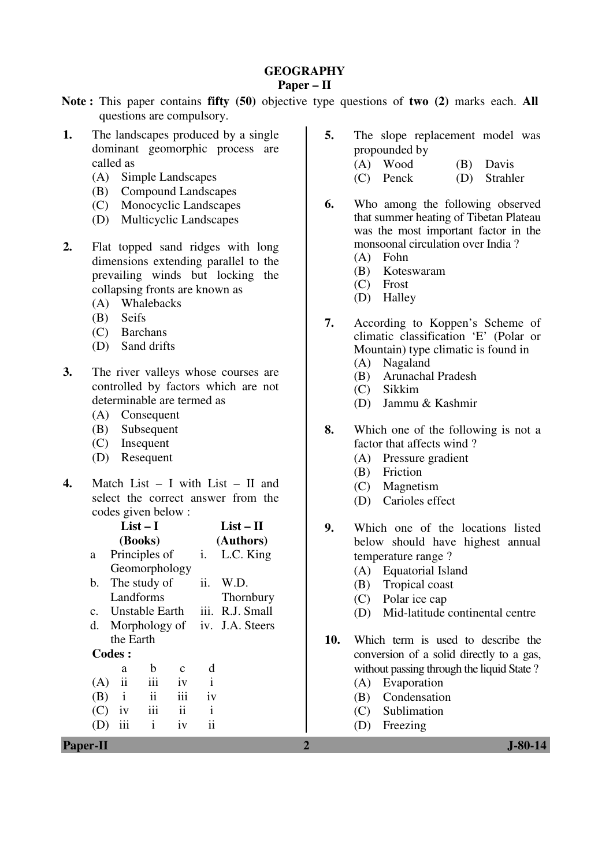### **GEOGRAPHY**

#### **Paper – II**

- **Note :** This paper contains **fifty (50)** objective type questions of **two (2)** marks each. **All** questions are compulsory.
- **1.** The landscapes produced by a single dominant geomorphic process are called as
	- (A) Simple Landscapes
	- (B) Compound Landscapes
	- (C) Monocyclic Landscapes
	- (D) Multicyclic Landscapes
- **2.** Flat topped sand ridges with long dimensions extending parallel to the prevailing winds but locking the collapsing fronts are known as
	- (A) Whalebacks
	- (B) Seifs
	- (C) Barchans
	- (D) Sand drifts
- **3.** The river valleys whose courses are controlled by factors which are not determinable are termed as
	- (A) Consequent
	- (B) Subsequent
	- (C) Insequent
	- (D) Resequent
- **4.** Match List I with List II and select the correct answer from the codes given below :

| $List-I$                                          | $List - II$     | 9.           | Which one of the locations listed         |
|---------------------------------------------------|-----------------|--------------|-------------------------------------------|
| (Books)                                           | (Authors)       |              | below should have highest annual          |
| Principles of<br>a                                | i. L.C. King    |              | temperature range?                        |
| Geomorphology                                     |                 |              | <b>Equatorial Island</b><br>(A)           |
| The study of<br>$\mathbf{b}$ .                    | ii.<br>W.D.     |              | (B)<br>Tropical coast                     |
| Landforms                                         | Thornbury       |              | Polar ice cap<br>(C)                      |
| Unstable Earth<br>$\mathbf{c}$ .                  | iii. R.J. Small |              | Mid-latitude continental centre<br>(D)    |
| Morphology of iv. J.A. Steers<br>d.               |                 |              |                                           |
| the Earth                                         |                 | 10.          | Which term is used to describe the        |
| Codes :                                           |                 |              | conversion of a solid directly to a gas,  |
| b<br>$\mathbf{C}$<br>a                            | d               |              | without passing through the liquid State? |
| $\mathbf{ii}$<br>iii<br>iv<br>(A)                 | $\mathbf{i}$    |              | (A)<br>Evaporation                        |
| iii<br>$\ddot{\mathbf{i}}$<br>(B)<br>$\mathbf{1}$ | iv              |              | Condensation<br>(B)                       |
| iii<br>(C)<br>1V<br>11                            | $\mathbf{i}$    |              | Sublimation<br>(C)                        |
| $\mathbf{i}$<br>(D)<br>1V<br>111                  | $\overline{11}$ |              | (D)<br>Freezing                           |
| Paper-II                                          |                 | $\mathbf{2}$ | <b>J-80-14</b>                            |

- **5.** The slope replacement model was propounded by
	- (A) Wood (B) Davis
	- (C) Penck (D) Strahler
- **6.** Who among the following observed that summer heating of Tibetan Plateau was the most important factor in the monsoonal circulation over India ?
	- (A) Fohn
	- (B) Koteswaram
	- (C) Frost
	- (D) Halley
- **7.** According to Koppen's Scheme of climatic classification 'E' (Polar or Mountain) type climatic is found in
	- (A) Nagaland
	- (B) Arunachal Pradesh
	- (C) Sikkim
	- (D) Jammu & Kashmir
- **8.** Which one of the following is not a factor that affects wind ?
	- (A) Pressure gradient
	- (B) Friction
	- (C) Magnetism
	- (D) Carioles effect
- **9.** Which one of the locations listed below should have highest annual temperature range ?
	- (A) Equatorial Island
	- (B) Tropical coast
	- (C) Polar ice cap
	- (D) Mid-latitude continental centre
- **10.** Which term is used to describe the conversion of a solid directly to a gas, without passing through the liquid State ?
	- (A) Evaporation
	- (B) Condensation
	- (C) Sublimation
	- (D) Freezing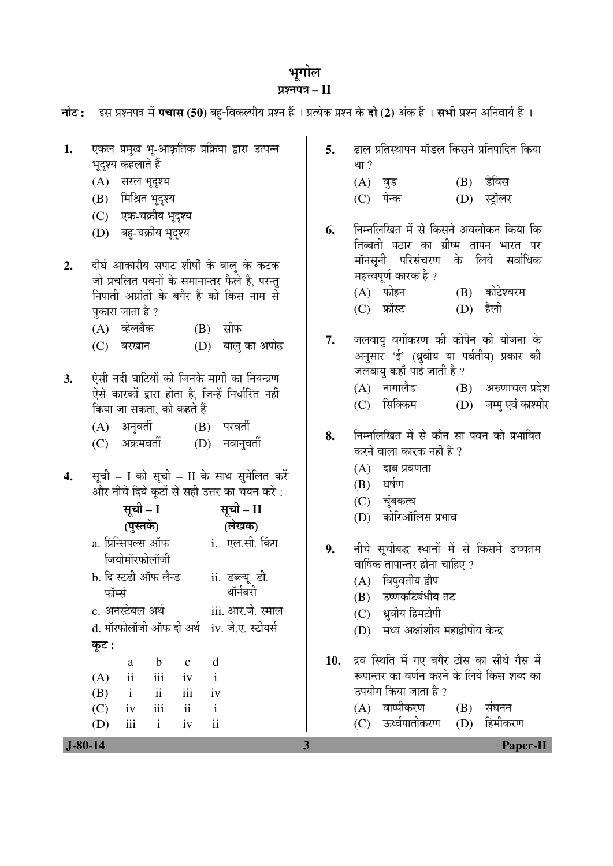# भूगोल

## ¯ÖÏ¿®Ö¯Ö¡Ö **– II**

|           | नोट: इस प्रश्नपत्र में पचास (50) बहु-विकल्पीय प्रश्न हैं । प्रत्येक प्रश्न के दो (2) अंक हैं । सभी प्रश्न अनिवार्य हैं ।                                                                                                                                                                                                                                                                                      |          |                                                                                                                                                                                                                                                                                                         |
|-----------|---------------------------------------------------------------------------------------------------------------------------------------------------------------------------------------------------------------------------------------------------------------------------------------------------------------------------------------------------------------------------------------------------------------|----------|---------------------------------------------------------------------------------------------------------------------------------------------------------------------------------------------------------------------------------------------------------------------------------------------------------|
| 1.        | एकल प्रमुख भू-आकृतिक प्रक्रिया द्वारा उत्पन्न<br>भूदृश्य कहलाते हैं<br>(A) सरल भूदृश्य<br>(B) मिश्रित भूदृश्य<br>(C) एक-चक्रीय भूदृश्य                                                                                                                                                                                                                                                                        | 5.       | ढाल प्रतिस्थापन मॉडल किसने प्रतिपादित किया<br>था ?<br>$(B)$ डेविस<br>(A) वुड<br>(D) स्ट्रॉलर<br>(C) पेन्क                                                                                                                                                                                               |
| 2.        | (D) बहु-चक्रीय भूदृश्य<br>दीर्घ आकारीय सपाट शीर्षों के बालु के कटक<br>जो प्रचलित पवनों के समानान्तर फैले हैं, परन्तु<br>निपाती अग्रांतों के बगैर हैं को किस नाम से<br>पुकारा जाता है ?<br>(A) व्हेलबैक<br>(B) सीफ                                                                                                                                                                                             | 6.       | निम्नलिखित में से किसने अवलोकन किया कि<br>तिब्बती पठार का ग्रीष्म तापन भारत पर<br>मॉनसूनी परिसंचरण के लिये सर्वाधिक<br>महत्त्वपूर्ण कारक है ?<br>$(B)$ कोटेश्वरम<br>(A) फोहन<br>$(D)$ हैली<br>(C) फ्रॉस्ट                                                                                               |
| 3.        | (D) बालु का अपोढ़<br>(C) बरखान<br>ऐसी नदी घाटियों को जिनके मार्गों का नियन्त्रण<br>ऐसे कारकों द्वारा होता है, जिन्हें निर्धारित नहीं<br>किया जा सकता, को कहते हैं<br>(A) अनुवर्ती<br>$(B)$ परवती                                                                                                                                                                                                              | 7.<br>8. | जलवायु वर्गीकरण की कोपेन की योजना के<br>अनुसार 'ई' (ध्रुवीय या पर्वतीय) प्रकार की<br>जलवायु कहाँ पाई जाती है ?<br>(A) नागालैंड<br>(B) अरुणाचल प्रदेश<br>सिक्किम<br>(D) जम्मु एवं काश्मीर<br>(C)<br>निम्नलिखित में से कौन सा पवन को प्रभावित                                                             |
| 4.        | (C) अक्रमवर्ती (D) नवानुवर्ती<br>सूची – I को सूची – II के साथ सुमेलित करें<br>और नीचे दिये कूटों से सही उत्तर का चयन करें :<br>सूची – I<br>सूची – II<br>(पुस्तकें)<br>(लेखक)<br>a. प्रिन्सिपल्स ऑफ                i.   एल.सी. किंग<br>जियोमॉरफोलॉजी<br>b. दि स्टडी ऑफ लैन्ड<br>ii. डब्ल्यू. डी.<br>थॉर्नबरी<br>फॉर्म्स<br>c. अनस्टेबल अर्थ<br>iii. आर.जे. स्माल<br>d. मॉरफोलॉजी ऑफ दी अर्थ iv. जे.ए. स्टीयर्स | 9.       | करने वाला कारक नही है ?<br>$(A)$ दाब प्रवणता<br>$(B)$ घर्षण<br>(C) चुंबकत्व<br>(D) कोरिऑलिस प्रभाव<br>नीचे सूचीबद्ध स्थानों में से किसमें उच्चतम<br>वार्षिक तापान्तर होना चाहिए ?<br>विषुवतीय द्वीप<br>(A)<br>उष्णकटिबंधीय तट<br>(B)<br>(C) ध्रुवीय हिमटोपी<br>मध्य अक्षांशीय महाद्वीपीय केन्द्र<br>(D) |
|           | कूट :<br>d<br>$\mathbf b$<br>$\mathbf c$<br>a<br>ii<br>iii<br>$\mathbf{i}$<br>(A)<br>iv<br>$\mathbf{ii}$<br>iii<br>(B)<br>$\mathbf{i}$<br>iv<br>iii<br>$\mathbf{ii}$<br>$\mathbf{i}$<br>(C)<br>iv<br>$\overline{\mathbf{ii}}$<br>iii<br>$\mathbf{i}$<br>(D)<br>iv                                                                                                                                             | 10.      | द्रव स्थिति में गए बगैर ठोस का सीधे गैस में<br>रूपान्तर का वर्णन करने के लिये किस शब्द का<br>उपयोग किया जाता है ?<br>(A) वाष्पीकरण<br>संघनन<br>(B)<br>ऊर्ध्वपातीकरण<br>हिमीकरण<br>(D)<br>(C)                                                                                                            |
| $J-80-14$ |                                                                                                                                                                                                                                                                                                                                                                                                               | 3        | <b>Paper-II</b>                                                                                                                                                                                                                                                                                         |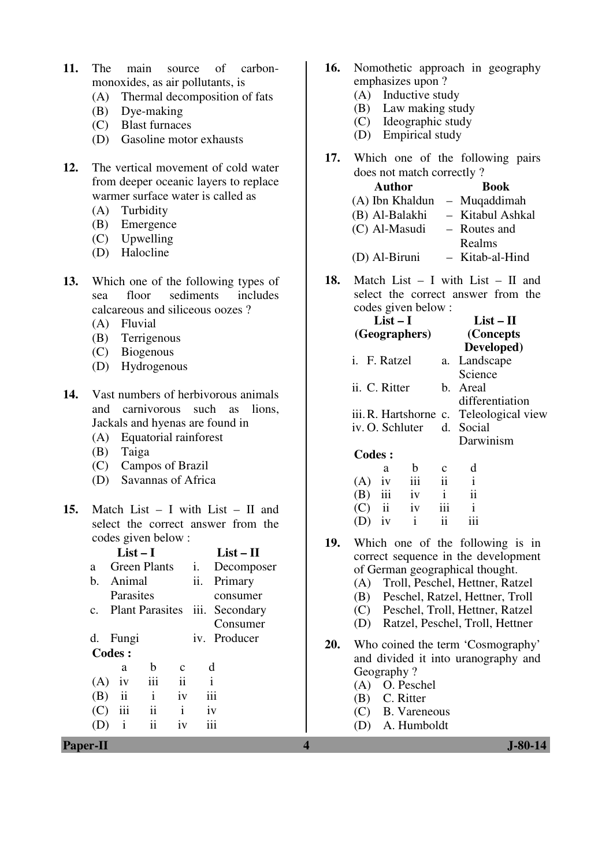- **11.** The main source of carbonmonoxides, as air pollutants, is
	- (A) Thermal decomposition of fats
	- (B) Dye-making
	- (C) Blast furnaces
	- (D) Gasoline motor exhausts
- **12.** The vertical movement of cold water from deeper oceanic layers to replace warmer surface water is called as
	- (A) Turbidity
	- (B) Emergence
	- (C) Upwelling
	- (D) Halocline
- **13.** Which one of the following types of sea floor sediments includes calcareous and siliceous oozes ?
	- (A) Fluvial
	- (B) Terrigenous
	- (C) Biogenous
	- (D) Hydrogenous
- **14.** Vast numbers of herbivorous animals and carnivorous such as lions, Jackals and hyenas are found in
	- (A) Equatorial rainforest
	- (B) Taiga
	- (C) Campos of Brazil
	- (D) Savannas of Africa
- **15.** Match List I with List II and select the correct answer from the codes given below :

|         | List $-1$               |                        |              |      | List – $\Pi$ |
|---------|-------------------------|------------------------|--------------|------|--------------|
| a       |                         | <b>Green Plants</b>    |              | i.   | Decomposer   |
| h.      | Animal                  |                        |              | ii.  | Primary      |
|         | Parasites               |                        |              |      | consumer     |
| $c_{-}$ |                         | <b>Plant Parasites</b> |              | iii. | Secondary    |
|         |                         |                        |              |      | Consumer     |
|         | d. Fungi                |                        |              |      | iv. Producer |
|         | Codes:                  |                        |              |      |              |
|         | a                       | h                      | C            |      | d            |
| (A)     | 1V                      | iii                    | ii           |      | i            |
| (B)     | $\overline{\mathbf{u}}$ | i                      | iv           |      | iii          |
| (C)     | 111                     | ii                     | $\mathbf{i}$ |      | iv           |
|         | $\mathbf{i}$            | ii                     | 1V           |      |              |
|         |                         |                        |              |      |              |

- **16.** Nomothetic approach in geography emphasizes upon ?
	- (A) Inductive study
	- (B) Law making study
	- (C) Ideographic study
	- (D) Empirical study
- **17.** Which one of the following pairs does not match correctly ?

| <b>Author</b>   | <b>Book</b>      |
|-----------------|------------------|
| (A) Ibn Khaldun | - Muqaddimah     |
| (B) Al-Balakhi  | - Kitabul Ashkal |
| (C) Al-Masudi   | - Routes and     |
|                 | Realms           |
| (D) Al-Biruni   | - Kitab-al-Hind  |

**18.** Match List – I with List – II and select the correct answer from the codes given below :

|               | List – I      |                     | List – H                                |
|---------------|---------------|---------------------|-----------------------------------------|
|               | (Geographers) |                     | (Concepts)                              |
|               |               |                     | Developed)                              |
| i. F. Ratzel  |               |                     | a. Landscape                            |
|               |               |                     | Science                                 |
| ii. C. Ritter |               |                     | b. Areal                                |
|               |               |                     | differentiation                         |
|               |               |                     | iii. R. Hartshorne c. Teleological view |
|               |               |                     | iv. O. Schluter d. Social               |
|               |               |                     | Darwinism                               |
| Codes:        |               |                     |                                         |
| a             | h             | с                   | d                                       |
| iv<br>(A)     | iii           | $\ddot{\mathbf{i}}$ | $\mathbf{i}$                            |
| (B)           | iii<br>iv     | $\mathbf{i}$        | ij                                      |
| ii            | iv            |                     | i                                       |

- (D) iv i ii iii **19.** Which one of the following is in
- correct sequence in the development of German geographical thought.
	- (A) Troll, Peschel, Hettner, Ratzel
	- (B) Peschel, Ratzel, Hettner, Troll
	- (C) Peschel, Troll, Hettner, Ratzel
	- (D) Ratzel, Peschel, Troll, Hettner
- **20.** Who coined the term 'Cosmography' and divided it into uranography and Geography ?
	- (A) O. Peschel
	- (B) C. Ritter
	- (C) B. Vareneous
	- (D) A. Humboldt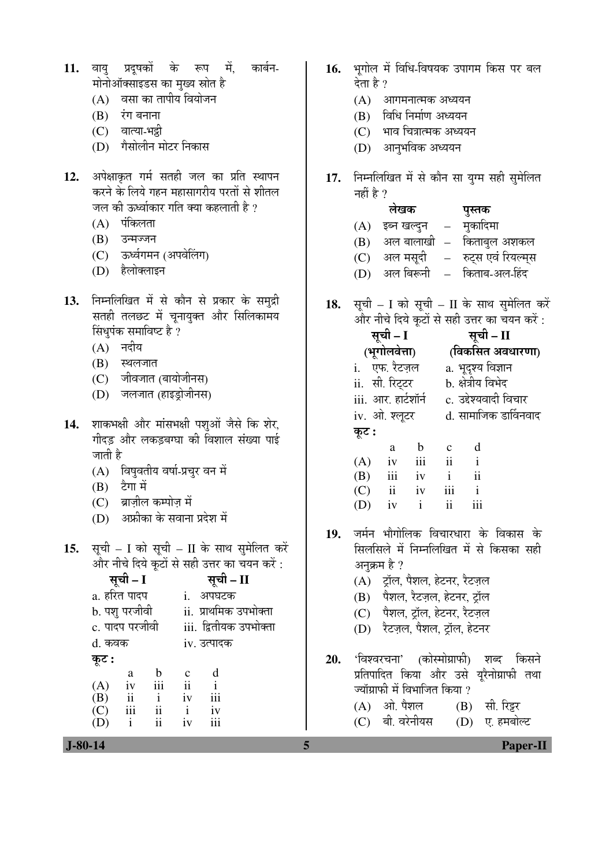- 11. वायु प्रदुषकों के रूप में, कार्बन-मोनोऑक्साइडस का मुख्य स्रोत है
	- $(A)$  वसा का तापीय वियोजन
	- $(B)$  रंग बनाना
	- (C) वात्या-भद्री
	- (D) गैसोलीन मोटर निकास
- 12. अपेक्षाकृत गर्म सतही जल का प्रति स्थापन करने के लिये गहन महासागरीय परतों से शीतल <u>जल की ऊर्ध्वाकार गति क्या कहलाती है ?</u>
	- $(A)$  पंकिलता
	- $(B)$  उन्मज्जन
	- (C) ऊर्ध्वगमन (अपवेलिंग)
	- (D) हैलोक्लाइन
- 13. निम्नलिखित में से कौन से प्रकार के समुद्री सतही तलछट में चूनायुक्त और सिलिकामय सिंधुपंक समाविष्ट है ?
	- $(A)$  नदीय
	- $(B)$  स्थलजात
	- (C) जीवजात (बायोजीनस)
	- (D) जलजात (हाइड़ोजीनस)
- 14. शाकभक्षी और मांसभक्षी पश्ओं जैसे कि शेर, गीदड़ और लकड़बग्घा की विशाल संख्या पाई जाती है
	- (A) विषुवतीय वर्षा-प्रचुर वन में
	- $(B)$  टैगा में
	- (C) ब्राजील कम्पोज में
	- $(D)$  अफ्रीका के सवाना प्रदेश में
- 15. सूची I को सूची II के साथ सुमेलित करें और नीचे दिये कूटों से सही उत्तर का चयन करें :

|                | सूची – I     |              |                        | सूची – II    |  |  |  |  |
|----------------|--------------|--------------|------------------------|--------------|--|--|--|--|
| a. हरित पादप   |              |              |                        | अपघटक        |  |  |  |  |
| b. पशु परजीवी  |              |              | ii. प्राथमिक उपभोक्ता  |              |  |  |  |  |
| c. पादप परजीवी |              |              | iii. द्वितीयक उपभोक्ता |              |  |  |  |  |
| d. कवक         |              |              | iv. उत्पादक            |              |  |  |  |  |
| कूट :          |              |              |                        |              |  |  |  |  |
|                | a            | b            | c                      | d            |  |  |  |  |
| (A)            | iv           | iii          | $\mathbf{ii}$          | $\mathbf{i}$ |  |  |  |  |
| (B)            | ii           | $\mathbf{i}$ | iv                     | iii          |  |  |  |  |
| (C)            | iii          | ii           | $\mathbf{i}$           | iv           |  |  |  |  |
|                | $\mathbf{i}$ | ii           | iv                     |              |  |  |  |  |

- 16. भगोल में विधि-विषयक उपागम किस पर बल देता है ?
	- $(A)$  आगमनात्मक अध्ययन
	- $(B)$  विधि निर्माण अध्ययन
	- (C) भाव चित्रात्मक अध्ययन
	- (D) आनुभविक अध्ययन
- 17. निम्नलिखित में से कौन सा युग्म सही सुमेलित नहीं है  $\overline{?}$

|     | लेखक         | पुस्तक             |
|-----|--------------|--------------------|
| (A) | इब्न खल्दुन  | मुकादिमा           |
| (B) | अल बालाखी  – | किताबुल अशकल       |
| (C) | अल मसूदी     | रुट्स एवं रियल्म्स |
| (D) | अल बिरूनी    | किताब-अल-हिंद      |

18. सूची – I को सूची – II के साथ सुमेलित करें और नीचे दिये कटों से सही उत्तर का चयन करें:

| सूची – II                      |  |  |  |  |
|--------------------------------|--|--|--|--|
| (विकसित अवधारणा)               |  |  |  |  |
| a. भूदृश्य विज्ञान             |  |  |  |  |
| b. क्षेत्रीय विभेद             |  |  |  |  |
| c. उद्देश्यवादी विचार          |  |  |  |  |
| d. सामाजिक डार्विनवाद          |  |  |  |  |
|                                |  |  |  |  |
| d<br>$\mathbf{C}$              |  |  |  |  |
| ii<br>$\mathbf{i}$             |  |  |  |  |
| $\mathbf{ii}$<br>$\mathbf{i}$  |  |  |  |  |
| iii<br>$\mathbf{i}$            |  |  |  |  |
| $\overline{\mathbf{u}}$<br>iii |  |  |  |  |
|                                |  |  |  |  |

- 19. जर्मन भौगोलिक विचारधारा के विकास के सिलसिले में निम्नलिखित में से किसका सही अनुक्रम है ?
	- (A) ट्रॉल, पैशल, हेटनर, रैटज़ल
	- (B) पैशल, रैटज़ल, हेटनर, ट्रॉल
	- (C) पैशल, ट्रॉल, हेटनर, रैटज़ल
	- (D) रैटज़ल, पैशल, ट्रॉल, हेटनर
- 20. 'विश्वरचना' (कोस्मोग्राफी) शब्द किसने प्रतिपादित किया और उसे यूरैनोग्राफी तथा ज्यॉग्राफी में विभाजित किया ?  $(A)$  ओ. पैशल  $(B)$  सी. रिट्टर (C) बी. वरेनीयस (D) ए. हमबोल्ट

 **J-80-14 5 Paper-II**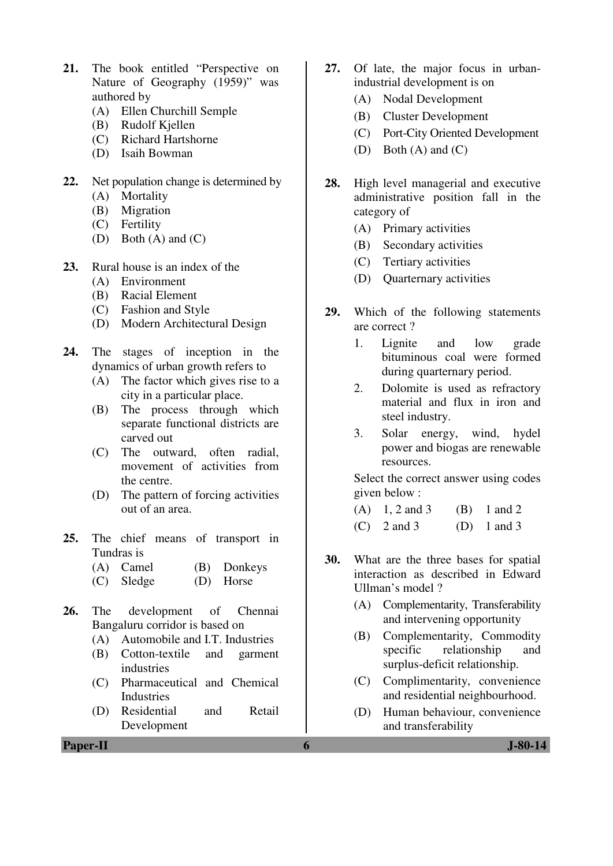- **21.** The book entitled "Perspective on Nature of Geography (1959)" was authored by
	- (A) Ellen Churchill Semple
	- (B) Rudolf Kjellen
	- (C) Richard Hartshorne
	- (D) Isaih Bowman
- **22.** Net population change is determined by
	- (A) Mortality
	- (B) Migration
	- (C) Fertility
	- (D) Both (A) and (C)
- **23.** Rural house is an index of the
	- (A) Environment
	- (B) Racial Element
	- (C) Fashion and Style
	- (D) Modern Architectural Design
- **24.** The stages of inception in the dynamics of urban growth refers to
	- (A) The factor which gives rise to a city in a particular place.
	- (B) The process through which separate functional districts are carved out
	- (C) The outward, often radial, movement of activities from the centre.
	- (D) The pattern of forcing activities out of an area.
- **25.** The chief means of transport in Tundras is
	- (A) Camel (B) Donkeys
	- (C) Sledge (D) Horse
- **26.** The development of Chennai Bangaluru corridor is based on
	- (A) Automobile and I.T. Industries
	- (B) Cotton-textile and garment industries
	- (C) Pharmaceutical and Chemical **Industries**
	- (D) Residential and Retail Development
- 
- **27.** Of late, the major focus in urbanindustrial development is on
	- (A) Nodal Development
	- (B) Cluster Development
	- (C) Port-City Oriented Development
	- (D) Both (A) and (C)
- **28.** High level managerial and executive administrative position fall in the category of
	- (A) Primary activities
	- (B) Secondary activities
	- (C) Tertiary activities
	- (D) Quarternary activities
- **29.** Which of the following statements are correct ?
	- 1. Lignite and low grade bituminous coal were formed during quarternary period.
	- 2. Dolomite is used as refractory material and flux in iron and steel industry.
	- 3. Solar energy, wind, hydel power and biogas are renewable resources.

 Select the correct answer using codes given below :

- (A)  $1, 2$  and  $3$  (B)  $1$  and  $2$
- (C)  $2 \text{ and } 3$  (D)  $1 \text{ and } 3$
- **30.** What are the three bases for spatial interaction as described in Edward Ullman's model ?
	- (A) Complementarity, Transferability and intervening opportunity
	- (B) Complementarity, Commodity specific relationship and surplus-deficit relationship.
	- (C) Complimentarity, convenience and residential neighbourhood.
	- (D) Human behaviour, convenience and transferability

**Paper-II 6 J-80-14**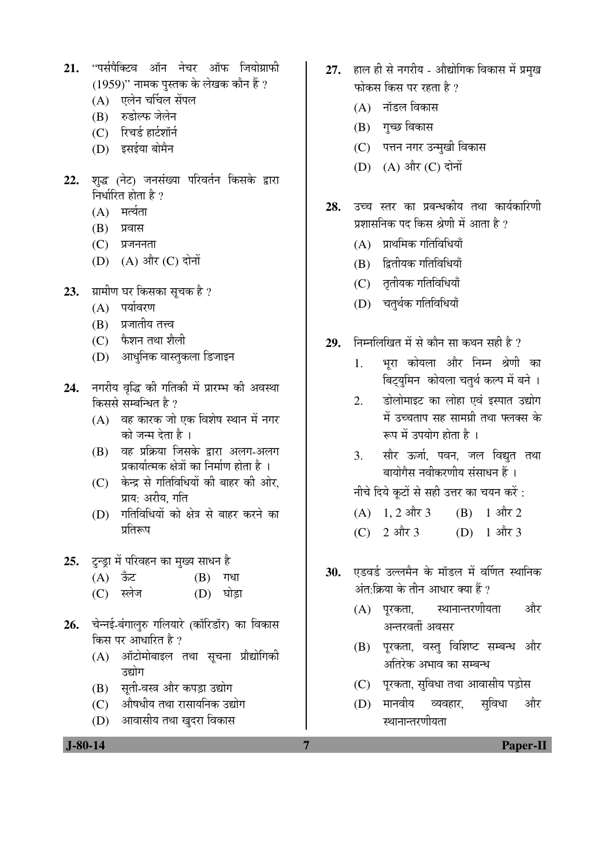- 21. "पर्सपैक्टिव ऑन नेचर ऑफ जियोग्राफी  $(1959)$ " नामक पुस्तक के लेखक कौन हैं ?
	- (A) एलेन चर्चिल सेंपल
	- (B) रुडोल्फ जेलेन
	- $(C)$  रिचर्ड हार्टशॉर्न
	- $(D)$  इसईया बोमैन
- 22. शब्द (नेट) जनसंख्या परिवर्तन किसके द्वारा निर्धारित होता है ?
	- $(A)$  मर्त्यता
	- $(B)$  प्रवास
	- $(C)$  प्रजननता
	- (D) (A) और (C) दोनों
- 23. *प्रा*मीण घर किसका सूचक है ?
	- $(A)$  पर्यावरण
	- $(B)$  प्रजातीय तत्त्व
	- $(C)$  फैशन तथा शैली
	- (D) आधनिक वास्तकला डिजाइन
- 24. नगरीय वृद्धि की गतिकी में प्रारम्भ की अवस्था किससे सम्बन्धित है ?
	- $(A)$  वह कारक जो एक विशेष स्थान में नगर को जन्म देता है ।
	- (B) वह प्रक्रिया जिसके द्वारा अलग-अलग प्रकार्यात्मक क्षेत्रों का निर्माण होता है ।
	- (C) केन्द्र से गतिविधियों की बाहर की ओर, प्राय: अरीय, गति
	- (D) गतिविधियों को क्षेत्र से बाहर करने का प्रतिरूप
- 25. ट्न्ड्रा में परिवहन का मुख्य साधन है
	- $(A)$  ऊँट  $(B)$  गधा
	- (C) स्लेज (D) घोड़ा
- 26. चेन्नई-बंगालरु गलियारे (कॉरिडॉर) का विकास किस पर आधारित है ?
	- (A) ऑटोमोबाइल तथा सूचना प्रौद्योगिकी उद्योग
	- (B) सूती-वस्त्र और कपड़ा उद्योग
	- (C) औषधीय तथा रासायनिक उद्योग
	- (D) आवासीय तथा खुदरा विकास
- 27. हाल ही से नगरीय औद्योगिक विकास में प्रमुख फोकस किस पर रहता है ?
	- $(A)$  नॉडल विकास
	- (B) गुच्छ विकास
	- (C) पत्तन नगर उन्मुखी विकास
	- (D) (A) और (C) दोनों
- **28.** उच्च स्तर का प्रबन्धकीय तथा कार्यकारिणी प्रशासनिक पद किस श्रेणी में आता है ?
	- $(A)$  प्राथमिक गतिविधियाँ
	- $(B)$  द्वितीयक गतिविधियाँ
	- (C) तृतीयक गतिविधियाँ
	- $(D)$  चतर्थक गतिविधियाँ
- **29.** निम्नलिखित में से कौन सा कथन सही है ?
	- 1. भरा कोयला और निम्न श्रेणी का बिट्युमिन कोयला चतुर्थ कल्प में बने ।
	- 2. डोलोमाइट का लोहा एवं इस्पात उद्योग में उच्चताप सह सामग्री तथा फ्लक्स के रूप में उपयोग होता है ।
	- 3. सौर ऊर्जा, पवन, जल विद्युत तथा बायोगैस नवीकरणीय संसाधन हैं ।

नीचे दिये कटों से सही उत्तर का चयन करें :

- (A)  $1, 2$  और  $3$  (B)  $1$  और  $2$
- (C)  $2 \text{ and } 3$  (D)  $1 \text{ and } 3$
- 30. एडवर्ड उल्लमैन के मॉडल में वर्णित स्थानिक अंत:क्रिया के तीन आधार क्या हैं ?
	- (A) पुरकता, स्थानान्तरणीयता और अन्तरवर्ती अवसर
	- (B) परकता, वस्तु विशिष्ट सम्बन्ध और अतिरेक अभाव का सम्बन्ध
	- (C) पूरकता, सुविधा तथा आवासीय पड़ोस
	- (D) मानवीय व्यवहार, सविधा और स्थानान्तरणीयता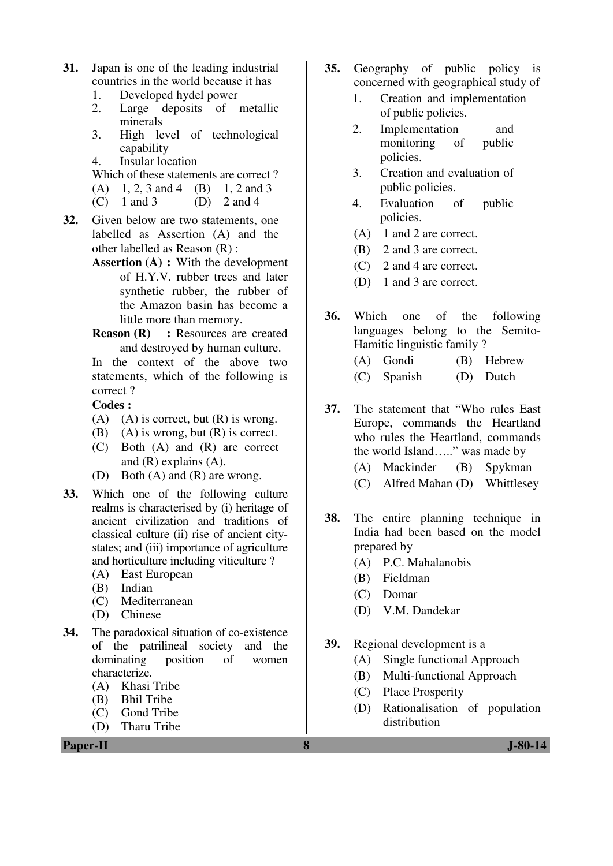- **31.** Japan is one of the leading industrial countries in the world because it has
	- 1. Developed hydel power<br>2. Large deposits of
	- Large deposits of metallic minerals
	- 3. High level of technological capability
	- 4. Insular location
	- Which of these statements are correct ?
	- (A)  $1, 2, 3$  and  $4$  (B)  $1, 2$  and  $3$ <br>(C)  $1$  and  $3$  (D)  $2$  and  $4$
	- $(C)$  1 and 3
- **32.** Given below are two statements, one labelled as Assertion (A) and the other labelled as Reason (R) :
	- **Assertion (A) : With the development** of H.Y.V. rubber trees and later synthetic rubber, the rubber of the Amazon basin has become a little more than memory.
	- **Reason (R)** : Resources are created and destroyed by human culture.

In the context of the above two statements, which of the following is correct ?

### **Codes :**

- (A) (A) is correct, but  $(R)$  is wrong.
- (B) (A) is wrong, but  $(R)$  is correct.
- (C) Both (A) and (R) are correct and (R) explains (A).
- (D) Both (A) and (R) are wrong.
- **33.** Which one of the following culture realms is characterised by (i) heritage of ancient civilization and traditions of classical culture (ii) rise of ancient citystates; and (iii) importance of agriculture and horticulture including viticulture ?
	- (A) East European
	-
	-
	-
- **34.** The paradoxical situation of co-existence of the patrilineal society and the dominating position of women characterize.
	- (A) Khasi Tribe
	- (B) Bhil Tribe
	- (C) Gond Tribe
	- (D) Tharu Tribe
- 
- - (B) Indian
	- (C) Mediterranean
	- (D) Chinese
- **35.** Geography of public policy is concerned with geographical study of 1. Creation and implementation
	- of public policies.
	- 2. Implementation and monitoring of public policies.
	- 3. Creation and evaluation of public policies.
	- 4. Evaluation of public policies.
	- (A) 1 and 2 are correct.
	- (B) 2 and 3 are correct.
	- (C) 2 and 4 are correct.
	- (D) 1 and 3 are correct.
- **36.** Which one of the following languages belong to the Semito-Hamitic linguistic family ?
	- (A) Gondi (B) Hebrew
	- (C) Spanish (D) Dutch

**37.** The statement that "Who rules East Europe, commands the Heartland who rules the Heartland, commands the world Island….." was made by

- (A) Mackinder (B) Spykman
- (C) Alfred Mahan (D) Whittlesey
- **38.** The entire planning technique in India had been based on the model prepared by
	- (A) P.C. Mahalanobis
	- (B) Fieldman
	- (C) Domar
	- (D) V.M. Dandekar
- **39.** Regional development is a
	- (A) Single functional Approach
	- (B) Multi-functional Approach
	- (C) Place Prosperity
	- (D) Rationalisation of population distribution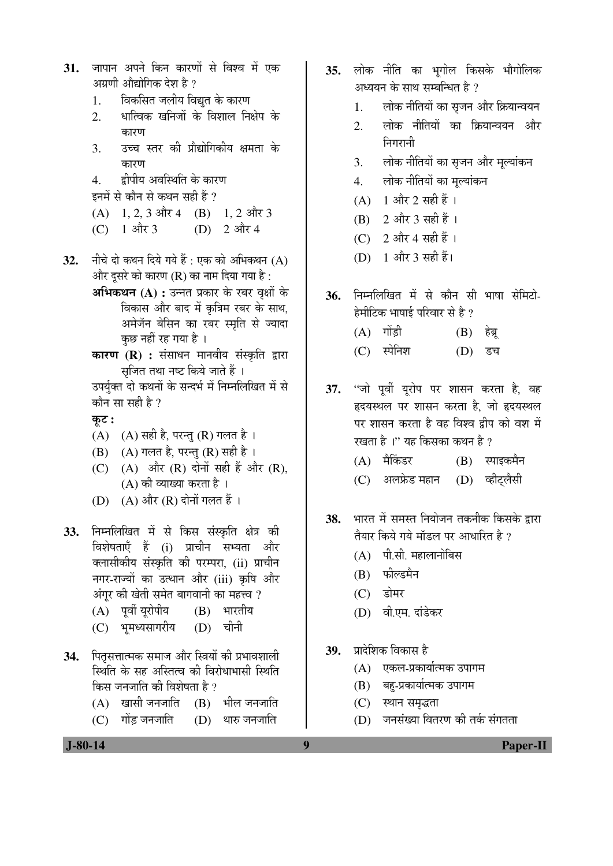- 31. जापान अपने किन कारणों से विश्व में एक अग्रणी औद्योगिक देश है ?
	- 1. विकसित जलीय विद्युत के कारण
	- 2. धात्विक खनिजों के विशाल निक्षेप के कारण
	- 3. उच्च स्तर की प्रौद्योगिकीय क्षमता के कारण
	- 4. द्रीपीय अवस्थिति के कारण
	- इनमें से कौन से कथन सही हैं ?
	- $(A)$  1, 2, 3 और 4 (B) 1, 2 और 3
	- (C)  $1 \text{ and } 3$  (D)  $2 \text{ and } 4$
- 32. नीचे दो कथन दिये गये हैं : एक को अभिकथन (A) और दसरे को कारण (R) का नाम दिया गया है :
	- **अभिकथन (A) :** उन्नत प्रकार के रबर वृक्षों के विकास और बाद में कृत्रिम रबर के साथ, अमेजॅन बेसिन का रबर स्मृति से ज्यादा कछ नहीं रह गया है ।
	- **कारण (R) :** संसाधन मानवीय संस्कृति द्वारा सृजित तथा नष्ट किये जाते हैं ।

### कूट :

- $(A)$   $(A)$  सही है, परन्तु  $(R)$  गलत है।
- $(B)$   $(A)$  गलत है, परन्तु  $(R)$  सही है ।
- $(C)$   $(A)$  और  $(R)$  दोनों सही हैं और  $(R)$ ,  $(A)$  की व्याख्या करता है।
- (D) (A) और (R) दोनों गलत हैं ।
- 33. निम्नलिखित में से किस संस्कृति क्षेत्र की विशेषताएँ हैं (i) प्राचीन सभ्यता और क्लासीकीय संस्कृति की परम्परा, (ii) प्राचीन नगर-राज्यों का उत्थान और (iii) कृषि और अंगुर की खेती समेत बागवानी का महत्त्व ?
	- (A) पूर्वी यूरोपीय (B) भारतीय
	- (C) भमध्यसागरीय (D) चीनी
- 34. पितृसत्तात्मक समाज और स्त्रियों की प्रभावशाली स्थिति के सह अस्तित्व की विरोधाभासी स्थिति किस जनजाति की विशेषता है ?
	- $(A)$  खासी जनजाति  $(B)$  भील जनजाति
	- $(C)$  गोंड जनजाति  $(D)$  थारु जनजाति
- **35.** लोक नीति का भूगोल किसके भौगोलिक अध्ययन के साथ सम्बन्धित है ?
	- 1. लोक नीतियों का सृजन और क्रियान्वयन
	- 2. लोक नीतियों का क्रियान्वयन और चिगागनी
	- 3. लोक नीतियों का सृजन और मूल्यांकन
	- 4. लोक नीतियों का मुल्यांकन
	- $(A)$  1 और 2 सही हैं।
	- $(B)$  2 और 3 सही हैं।
	- $(C)$  2 और 4 सही हैं।
	- (D)  $1 \text{ and } 3 \text{ if } k$
- 36. निम्नलिखित में से कौन सी भाषा सेमिटो-हेमीटिक भाषाई परिवार से है $\overline{a}$ 
	- $(A)$  गोंड़ी  $(B)$  हेब्र
	- (C) स्पेनिश (D) डच
- 37. "जो पूर्वी यूरोप पर शासन करता है, वह हृदयस्थल पर शासन करता है, जो हृदयस्थल पर शासन करता है वह विश्व दीप को वश में रखता है ।" यह किसका कथन है ?
	- (A) मैकिंडर (B) स्पाइकमैन
	- (C) अलफ्रेड महान (D) व्हीटलैसी
- 38. भारत में समस्त नियोजन तकनीक किसके द्वारा तैयार किये गये मॉडल पर आधारित है ?
	- $(A)$  पी.सी. महालानोबिस
	- (B) फोल्डमैन
	- $(C)$  डोमर
	- (D) वी.एम. दांडेकर
- 39. प्रादेशिक विकास है
	- (A) एकल-प्रकार्यात्मक उपागम
	- (B) बह-प्रकार्यात्मक उपागम
	- (C) स्थान समृद्धता
	- $(D)$  जनसंख्या वितरण की तर्क संगतता

उपर्युक्त दो कथनों के सन्दर्भ में निम्नलिखित में से कौन सा सही है ?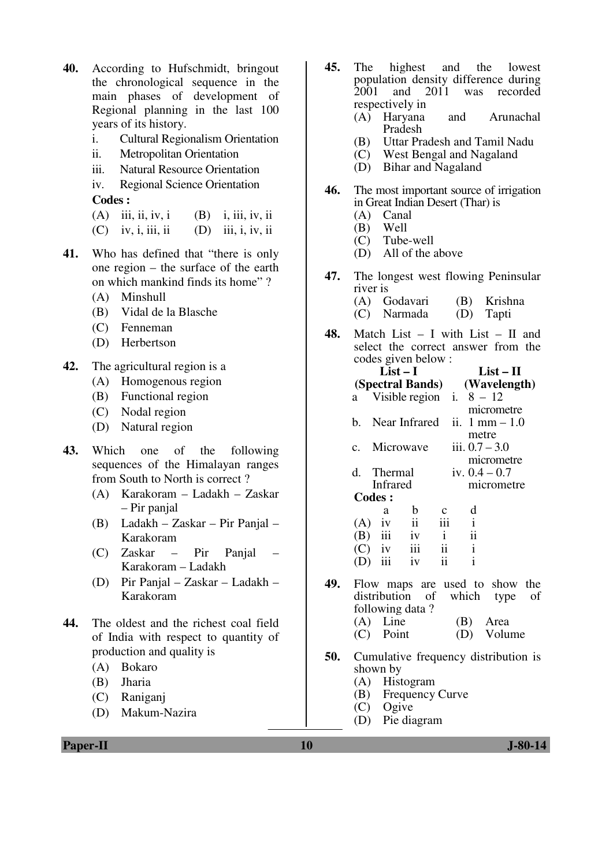- **40.** According to Hufschmidt, bringout the chronological sequence in the main phases of development of Regional planning in the last 100 years of its history.
	- i. Cultural Regionalism Orientation
	- ii. Metropolitan Orientation
	- iii. Natural Resource Orientation

 iv. Regional Science Orientation **Codes :** 

- (A) iii, ii, iv, i (B) i, iii, iv, ii
- $(C)$  iv, i, iii, ii  $(D)$  iii, i, iv, ii
- **41.** Who has defined that "there is only one region – the surface of the earth on which mankind finds its home" ?
	- (A) Minshull
	- (B) Vidal de la Blasche
	- (C) Fenneman
	- (D) Herbertson
- **42.** The agricultural region is a
	- (A) Homogenous region
	- (B) Functional region
	- (C) Nodal region
	- (D) Natural region
- **43.** Which one of the following sequences of the Himalayan ranges from South to North is correct ?
	- (A) Karakoram Ladakh Zaskar – Pir panjal
	- (B) Ladakh Zaskar Pir Panjal Karakoram
	- (C) Zaskar Pir Panjal Karakoram – Ladakh
	- (D) Pir Panjal Zaskar Ladakh Karakoram
- **44.** The oldest and the richest coal field of India with respect to quantity of production and quality is
	- (A) Bokaro
	- (B) Jharia
	- (C) Raniganj
	- (D) Makum-Nazira
- **45.** The highest and the lowest population density difference during<br>2001 and 2011 was recorded and  $2011$  was respectively in
	- (A) Haryana and Arunachal Pradesh
	- (B) Uttar Pradesh and Tamil Nadu<br>(C) West Bengal and Nagaland
	- West Bengal and Nagaland
	- (D) Bihar and Nagaland
- **46.** The most important source of irrigation in Great Indian Desert (Thar) is
	- (A) Canal<br>(B) Well
	- Well
	- (C) Tube-well
	- (D) All of the above
- **47.** The longest west flowing Peninsular river is
	- (A) Godavari (B) Krishna
	- $(C)$  Narmada  $(D)$
- **48.** Match List I with List II and select the correct answer from the codes given below :

|     |               |           | $List-I$                   |                     |              |               | $List-II$                      |    |  |
|-----|---------------|-----------|----------------------------|---------------------|--------------|---------------|--------------------------------|----|--|
|     |               |           | (Spectral Bands)           |                     | (Wavelength) |               |                                |    |  |
|     | a -           |           | Visible region i. $8 - 12$ |                     |              |               |                                |    |  |
|     |               |           |                            |                     |              |               | micrometre                     |    |  |
|     | h.            |           | Near Infrared              |                     |              |               | ii. $1 \text{ mm} - 1.0$       |    |  |
|     |               |           |                            |                     |              | metre         |                                |    |  |
|     |               |           | c. Microwave               |                     |              |               | iii. $0.7 - 3.0$               |    |  |
|     |               |           |                            |                     |              |               | micrometre                     |    |  |
|     |               |           | d. Thermal                 |                     |              |               | iv. $0.4 - 0.7$                |    |  |
|     |               | Infrared  |                            |                     |              |               | micrometre                     |    |  |
|     | <b>Codes:</b> |           |                            |                     |              |               |                                |    |  |
|     |               | a         | $\mathbf b$                |                     |              | d             |                                |    |  |
|     | $(A)$ iv      |           | $\overline{\mathbf{i}}$    | iii                 |              | $\mathbf{i}$  |                                |    |  |
|     |               |           | $(B)$ iii iv               | $\mathbf{i}$        |              | $\mathbf{ii}$ |                                |    |  |
|     |               |           | $(C)$ iv iii               | $\ddot{\mathbf{i}}$ |              | $\mathbf{i}$  |                                |    |  |
|     |               | $(D)$ iii | iv                         | ii                  |              | $\mathbf{i}$  |                                |    |  |
|     |               |           |                            |                     |              |               |                                |    |  |
| 49. |               |           |                            |                     |              |               | Flow maps are used to show the |    |  |
|     |               |           | distribution of which      |                     |              |               | type                           | οf |  |
|     |               |           | following data?            |                     |              |               |                                |    |  |
|     |               |           |                            |                     |              |               |                                |    |  |

- (A) Line (B) Area (C) Point (D) Volume
- **50.** Cumulative frequency distribution is shown by
	- (A) Histogram
	- (B) Frequency Curve
	- (C) Ogive
	- (D) Pie diagram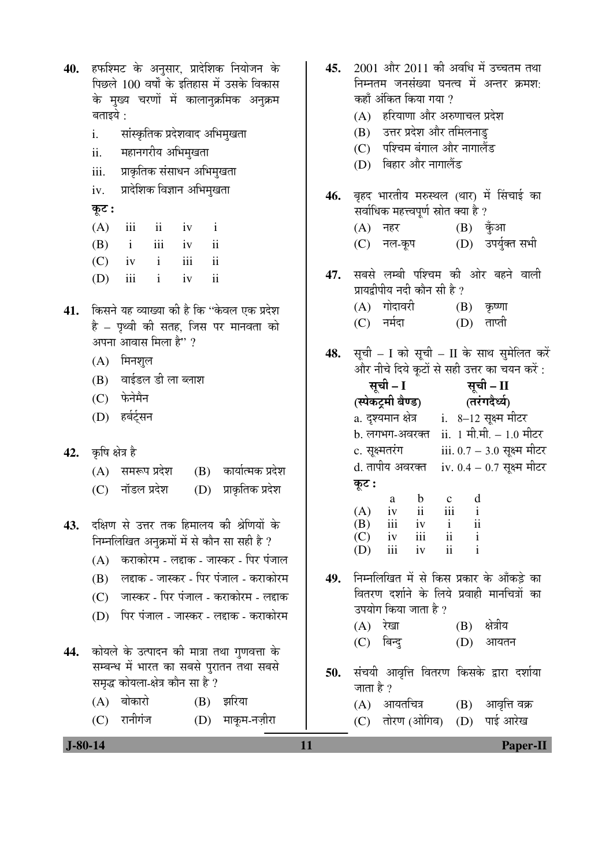| 40.       | हफश्मिट के अनुसार, प्रादेशिक नियोजन के<br>पिछले 100 वर्षों के इतिहास में उसके विकास<br>के मुख्य चरणों में कालानुक्रमिक अनुक्रम<br>बताइये : | 45. | 2001 और 2011 की अवधि में उच्चतम तथा<br>निम्नतम जनसंख्या घनत्व में अन्तर क्रमश:<br>कहाँ अंकित किया गया ?<br>हरियाणा और अरुणाचल प्रदेश<br>(A) |
|-----------|--------------------------------------------------------------------------------------------------------------------------------------------|-----|---------------------------------------------------------------------------------------------------------------------------------------------|
|           | सांस्कृतिक प्रदेशवाद अभिमुखता<br>i.                                                                                                        |     | (B) उत्तर प्रदेश और तमिलनाडु<br>(C) पश्चिम बंगाल और नागालैंड                                                                                |
|           | ii.<br>महानगरीय अभिमुखता<br>iii.<br>प्राकृतिक संसाधन अभिमुखता                                                                              |     | (D) बिहार और नागालैंड                                                                                                                       |
|           | प्रादेशिक विज्ञान अभिमुखता<br>iv.                                                                                                          |     |                                                                                                                                             |
|           | कूट :                                                                                                                                      | 46. | बृहद भारतीय मरुस्थल (थार) में सिंचाई का<br>सर्वाधिक महत्त्वपूर्ण स्रोत क्या है ?                                                            |
|           | (A)<br>$\overline{\mathbf{u}}$<br>iii<br>iv<br>$\mathbf{1}$                                                                                |     | (A) नहर<br>$(B)$ कुँआ                                                                                                                       |
|           | iii<br>$\ddot{\rm n}$<br>(B)<br>$\mathbf{i}$<br>iv                                                                                         |     | (D) उपर्युक्त सभी<br>(C) नल-कूप                                                                                                             |
|           | iii<br>$\ddot{\rm ii}$<br>$\mathbf{i}$<br>(C)<br>iv                                                                                        | 47. | सबसे लम्बी पश्चिम की ओर बहने वाली                                                                                                           |
|           | $\mathbf{ii}$<br>iii<br>$\mathbf{i}$<br>(D)<br>iv                                                                                          |     | प्रायद्वीपीय नदी कौन सी है ?                                                                                                                |
| 41.       | किसने यह व्याख्या की है कि ''केवल एक प्रदेश                                                                                                |     | (A) गोदावरी<br>$(B)$ कृष्णा                                                                                                                 |
|           | है – पृथ्वी की सतह, जिस पर मानवता को                                                                                                       |     | (C) नर्मदा<br>ताप्ती<br>(D)                                                                                                                 |
|           | अपना आवास मिला है" ?                                                                                                                       | 48. | सूची – I को सूची – II के साथ सुमेलित करें                                                                                                   |
|           | (A) मिनशुल                                                                                                                                 |     | और नीचे दिये कूटों से सही उत्तर का चयन करें :                                                                                               |
|           | वाईडल डी ला ब्लाश<br>(B)                                                                                                                   |     | सूची – I<br>सूची - II                                                                                                                       |
|           | (C) फेनेमैन                                                                                                                                |     | (स्पेकट्रमी बैण्ड)<br>(तरंगदैर्ध्य)                                                                                                         |
|           | (D) हर्बर्ट्सन                                                                                                                             |     | a. दृश्यमान क्षेत्र       i.   8–12 सूक्ष्म मीटर<br>b. लगभग-अवरक्त ii. 1 मी.मी. - 1.0 मीटर                                                  |
| 42.       | कृषि क्षेत्र है                                                                                                                            |     | c. सूक्ष्मतरंग<br>iii. $0.7 - 3.0$ सूक्ष्म मीटर                                                                                             |
|           | कार्यात्मक प्रदेश<br>समरूप प्रदेश<br>(B)<br>(A)                                                                                            |     | d. तापीय अवरक्त<br>iv. 0.4 – 0.7 सूक्ष्म मीटर                                                                                               |
|           | (D) प्राकृतिक प्रदेश<br>नॉडल प्रदेश<br>(C)                                                                                                 |     | कूट :                                                                                                                                       |
|           |                                                                                                                                            |     | d<br>b<br>a<br>$\mathbf{c}$<br>$\rm ii$<br>iii<br>$\mathbf{i}$<br>(A)<br>iv                                                                 |
| 43.       | दक्षिण से उत्तर तक हिमालय की श्रेणियों के                                                                                                  |     | (B)<br>111<br>1V<br>$\mathbf{1}$<br>11<br>iii<br>ii<br>(C)<br>$\mathbf{i}$<br>iv                                                            |
|           | निम्नलिखित अनुक्रमों में से कौन सा सही है ?                                                                                                |     | iii<br>ii<br>$\mathbf{i}$<br>(D)<br>iv                                                                                                      |
|           | कराकोरम - लद्दाक - जास्कर - पिर पंजाल<br>(A)<br>लद्दाक - जास्कर - पिर पंजाल - कराकोरम                                                      | 49. | निम्नलिखित में से किस प्रकार के आँकड़े का                                                                                                   |
|           | (B)<br>जास्कर - पिर पंजाल - कराकोरम - लद्दाक<br>(C)                                                                                        |     | वितरण दर्शाने के लिये प्रवाही मानचित्रों का                                                                                                 |
|           | पिर पंजाल - जास्कर - लद्दाक - कराकोरम<br>(D)                                                                                               |     | उपयोग किया जाता है ?                                                                                                                        |
|           |                                                                                                                                            |     | क्षेत्रीय<br>$(A)$ रेखा<br>(B)                                                                                                              |
| 44.       | कोयले के उत्पादन की मात्रा तथा गुणवत्ता के                                                                                                 |     | (C) बिन्दु<br>(D)<br>आयतन                                                                                                                   |
|           | सम्बन्ध में भारत का सबसे पुरातन तथा सबसे                                                                                                   | 50. | संचयी आवृत्ति वितरण किसके द्वारा दर्शाया                                                                                                    |
|           | समृद्ध कोयला-क्षेत्र कौन सा है ?                                                                                                           |     | जाता है ?                                                                                                                                   |
|           | बोकारो<br>झरिया<br>(A)<br>(B)                                                                                                              |     | (B) आवृत्ति वक्र<br>(A) आयतचित्र                                                                                                            |
|           | रानीगंज<br>(D) माकूम-नज़ीरा<br>(C)                                                                                                         |     | पाई आरेख<br>तोरण (ओगिव)<br>(D)<br>(C)                                                                                                       |
| $J-80-14$ | 11                                                                                                                                         |     | <b>Paper-II</b>                                                                                                                             |